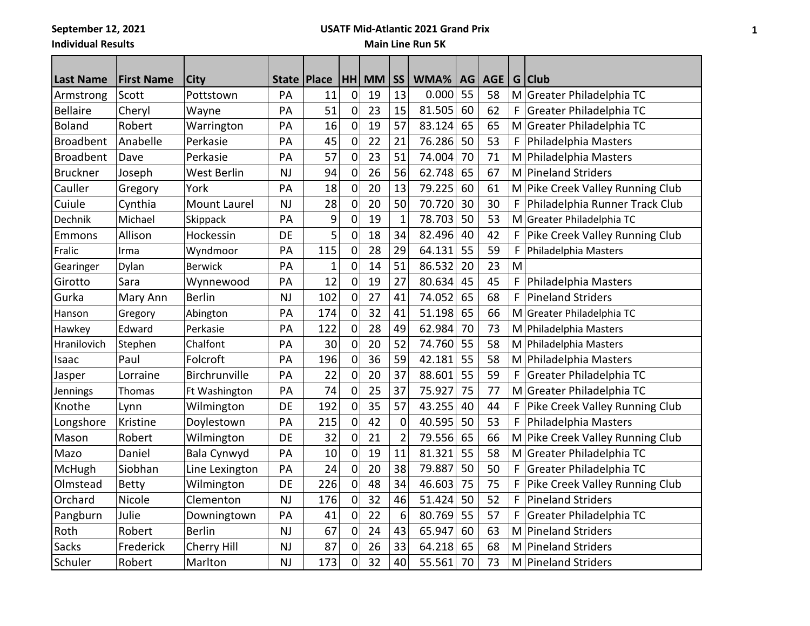**September 12, 2021**

**Individual Results**

## **USATF Mid-Atlantic 2021 Grand Prix**

## **Main Line Run 5K**

| <b>Last Name</b> | <b>First Name</b> | <b>City</b>        | State     | <b>Place</b> | HH          | <b>MM</b> | <b>SS</b>      | WMA%   | AG | <b>AGE</b> | G | <b>Club</b>                    |
|------------------|-------------------|--------------------|-----------|--------------|-------------|-----------|----------------|--------|----|------------|---|--------------------------------|
| Armstrong        | Scott             | Pottstown          | PA        | 11           | $\mathbf 0$ | 19        | 13             | 0.000  | 55 | 58         | M | Greater Philadelphia TC        |
| <b>Bellaire</b>  | Cheryl            | Wayne              | PA        | 51           | $\mathbf 0$ | 23        | 15             | 81.505 | 60 | 62         | F | Greater Philadelphia TC        |
| <b>Boland</b>    | Robert            | Warrington         | PA        | 16           | 0           | 19        | 57             | 83.124 | 65 | 65         | M | Greater Philadelphia TC        |
| <b>Broadbent</b> | Anabelle          | Perkasie           | PA        | 45           | 0           | 22        | 21             | 76.286 | 50 | 53         | F | Philadelphia Masters           |
| <b>Broadbent</b> | Dave              | Perkasie           | PA        | 57           | $\mathbf 0$ | 23        | 51             | 74.004 | 70 | 71         | M | Philadelphia Masters           |
| <b>Bruckner</b>  | Joseph            | <b>West Berlin</b> | <b>NJ</b> | 94           | $\mathbf 0$ | 26        | 56             | 62.748 | 65 | 67         | M | <b>Pineland Striders</b>       |
| Cauller          | Gregory           | York               | PA        | 18           | 0           | 20        | 13             | 79.225 | 60 | 61         | M | Pike Creek Valley Running Club |
| Cuiule           | Cynthia           | Mount Laurel       | <b>NJ</b> | 28           | 0           | 20        | 50             | 70.720 | 30 | 30         | F | Philadelphia Runner Track Club |
| Dechnik          | Michael           | Skippack           | PA        | 9            | 0           | 19        | $\mathbf{1}$   | 78.703 | 50 | 53         | M | Greater Philadelphia TC        |
| Emmons           | Allison           | Hockessin          | DE        | 5            | 0           | 18        | 34             | 82.496 | 40 | 42         | F | Pike Creek Valley Running Club |
| Fralic           | Irma              | Wyndmoor           | PA        | 115          | 0           | 28        | 29             | 64.131 | 55 | 59         | F | Philadelphia Masters           |
| Gearinger        | Dylan             | <b>Berwick</b>     | PA        | $\mathbf{1}$ | 0           | 14        | 51             | 86.532 | 20 | 23         | M |                                |
| Girotto          | Sara              | Wynnewood          | PA        | 12           | $\mathbf 0$ | 19        | 27             | 80.634 | 45 | 45         | F | Philadelphia Masters           |
| Gurka            | Mary Ann          | Berlin             | <b>NJ</b> | 102          | $\mathbf 0$ | 27        | 41             | 74.052 | 65 | 68         | F | <b>Pineland Striders</b>       |
| Hanson           | Gregory           | Abington           | PA        | 174          | 0           | 32        | 41             | 51.198 | 65 | 66         | M | Greater Philadelphia TC        |
| Hawkey           | Edward            | Perkasie           | PA        | 122          | $\mathbf 0$ | 28        | 49             | 62.984 | 70 | 73         | M | Philadelphia Masters           |
| Hranilovich      | Stephen           | Chalfont           | PA        | 30           | $\mathbf 0$ | 20        | 52             | 74.760 | 55 | 58         | M | Philadelphia Masters           |
| Isaac            | Paul              | Folcroft           | PA        | 196          | 0           | 36        | 59             | 42.181 | 55 | 58         | M | Philadelphia Masters           |
| Jasper           | Lorraine          | Birchrunville      | PA        | 22           | 0           | 20        | 37             | 88.601 | 55 | 59         | F | Greater Philadelphia TC        |
| Jennings         | Thomas            | Ft Washington      | PA        | 74           | 0           | 25        | 37             | 75.927 | 75 | 77         | M | Greater Philadelphia TC        |
| Knothe           | Lynn              | Wilmington         | DE        | 192          | $\mathbf 0$ | 35        | 57             | 43.255 | 40 | 44         | F | Pike Creek Valley Running Club |
| Longshore        | Kristine          | Doylestown         | PA        | 215          | $\mathbf 0$ | 42        | $\mathbf 0$    | 40.595 | 50 | 53         | F | Philadelphia Masters           |
| Mason            | Robert            | Wilmington         | DE        | 32           | $\mathbf 0$ | 21        | $\overline{2}$ | 79.556 | 65 | 66         | M | Pike Creek Valley Running Club |
| Mazo             | Daniel            | Bala Cynwyd        | PA        | 10           | 0           | 19        | 11             | 81.321 | 55 | 58         | M | Greater Philadelphia TC        |
| McHugh           | Siobhan           | Line Lexington     | PA        | 24           | 0           | 20        | 38             | 79.887 | 50 | 50         | F | Greater Philadelphia TC        |
| Olmstead         | <b>Betty</b>      | Wilmington         | DE        | 226          | 0           | 48        | 34             | 46.603 | 75 | 75         | F | Pike Creek Valley Running Club |
| Orchard          | Nicole            | Clementon          | <b>NJ</b> | 176          | $\mathbf 0$ | 32        | 46             | 51.424 | 50 | 52         | F | <b>Pineland Striders</b>       |
| Pangburn         | Julie             | Downingtown        | PA        | 41           | $\mathbf 0$ | 22        | 6              | 80.769 | 55 | 57         | F | Greater Philadelphia TC        |
| Roth             | Robert            | <b>Berlin</b>      | <b>NJ</b> | 67           | 0           | 24        | 43             | 65.947 | 60 | 63         | M | <b>Pineland Striders</b>       |
| Sacks            | Frederick         | Cherry Hill        | <b>NJ</b> | 87           | 0           | 26        | 33             | 64.218 | 65 | 68         | M | <b>Pineland Striders</b>       |
| Schuler          | Robert            | Marlton            | <b>NJ</b> | 173          | 0           | 32        | 40             | 55.561 | 70 | 73         | M | <b>Pineland Striders</b>       |